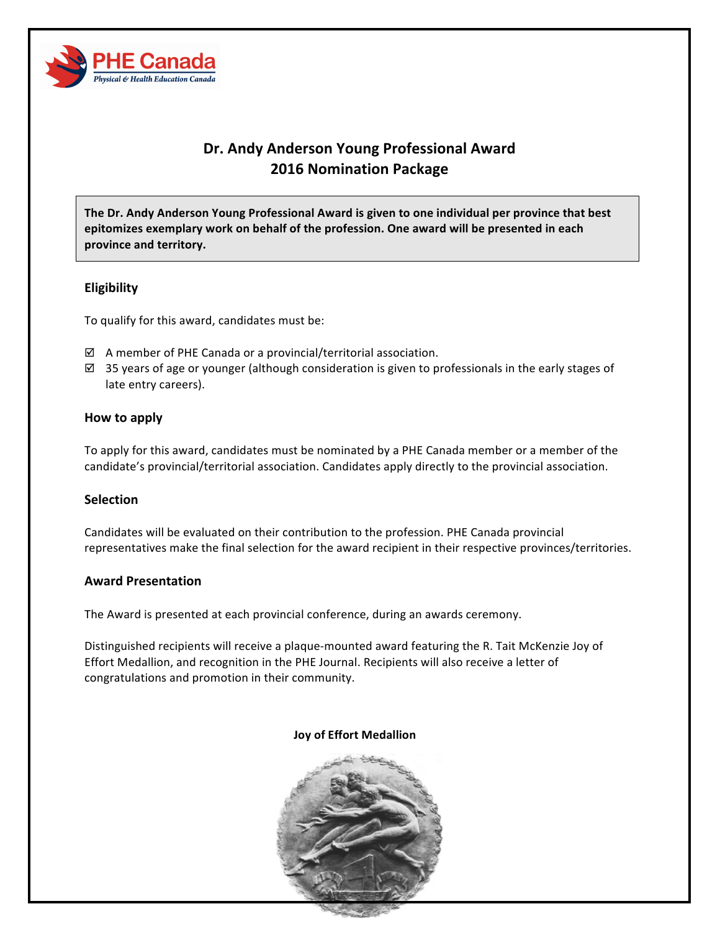

### **Dr. Andy Anderson Young Professional Award 2016 Nomination Package**

The Dr. Andy Anderson Young Professional Award is given to one individual per province that best epitomizes exemplary work on behalf of the profession. One award will be presented in each **province and territory.**

#### **Eligibility**

To qualify for this award, candidates must be:

- $\boxtimes$  A member of PHE Canada or a provincial/territorial association.
- $\boxtimes$  35 years of age or younger (although consideration is given to professionals in the early stages of late entry careers).

#### **How to apply**

To apply for this award, candidates must be nominated by a PHE Canada member or a member of the candidate's provincial/territorial association. Candidates apply directly to the provincial association.

#### **Selection**

Candidates will be evaluated on their contribution to the profession. PHE Canada provincial representatives make the final selection for the award recipient in their respective provinces/territories.

#### **Award Presentation**

The Award is presented at each provincial conference, during an awards ceremony.

Distinguished recipients will receive a plaque-mounted award featuring the R. Tait McKenzie Joy of Effort Medallion, and recognition in the PHE Journal. Recipients will also receive a letter of congratulations and promotion in their community.

#### **Joy of Effort Medallion**

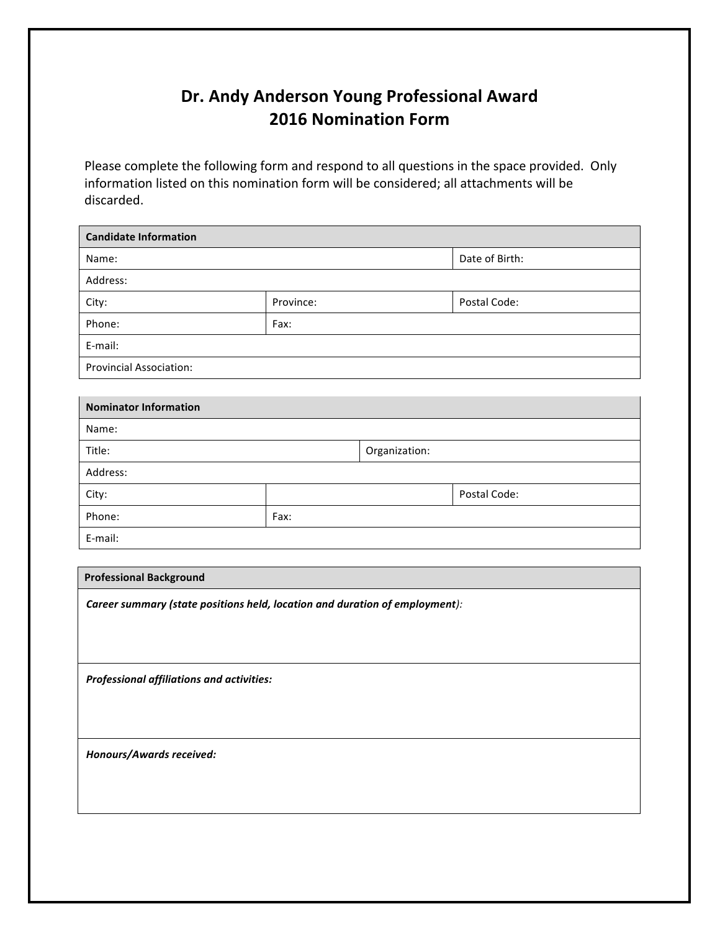# **Dr. Andy Anderson Young Professional Award 2016 Nomination Form**

Please complete the following form and respond to all questions in the space provided. Only information listed on this nomination form will be considered; all attachments will be discarded.

| <b>Candidate Information</b>   |           |                |  |  |
|--------------------------------|-----------|----------------|--|--|
| Name:                          |           | Date of Birth: |  |  |
| Address:                       |           |                |  |  |
| City:                          | Province: | Postal Code:   |  |  |
| Phone:                         | Fax:      |                |  |  |
| E-mail:                        |           |                |  |  |
| <b>Provincial Association:</b> |           |                |  |  |

| <b>Nominator Information</b> |      |               |              |
|------------------------------|------|---------------|--------------|
| Name:                        |      |               |              |
| Title:                       |      | Organization: |              |
| Address:                     |      |               |              |
| City:                        |      |               | Postal Code: |
| Phone:                       | Fax: |               |              |
| E-mail:                      |      |               |              |

#### **Professional Background**

*Career summary (state positions held, location and duration of employment):* 

*Professional affiliations and activities:*

*Honours/Awards received:*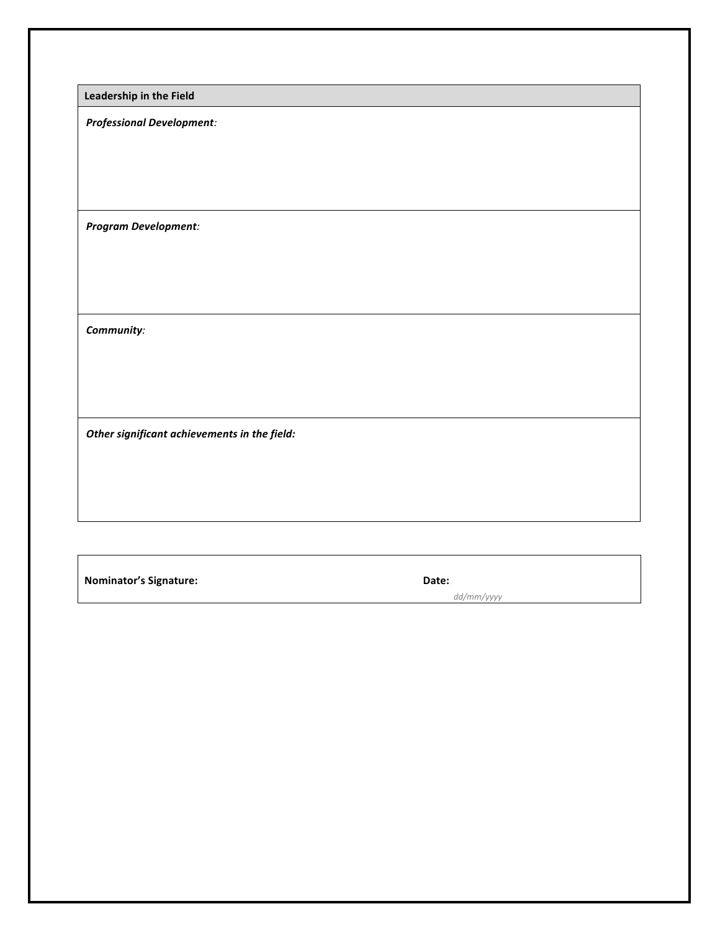**Leadership in the Field** 

*Professional Development:*

*Program Development:*

*Community:*

**Other significant achievements in the field:** 

**Nominator's Signature: Date: Date:** 

*dd/mm/yyyy*